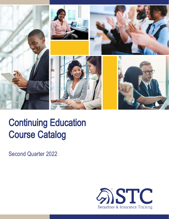

# Continuing Education Course Catalog

Second Quarter 2022

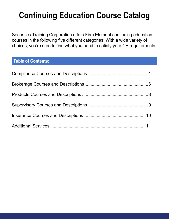## **Continuing Education Course Catalog**

Securities Training Corporation offers Firm Element continuing education courses in the following five different categories. With a wide variety of choices, you're sure to find what you need to satisfy your CE requirements.

## **Table of Contents:**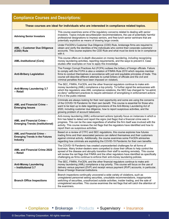## **Compliance Courses and Descriptions:**

| These courses are ideal for individuals who are interested in compliance related topics. |                                                                                                                                                                                                                                                                                                                                                                                                                                                         |
|------------------------------------------------------------------------------------------|---------------------------------------------------------------------------------------------------------------------------------------------------------------------------------------------------------------------------------------------------------------------------------------------------------------------------------------------------------------------------------------------------------------------------------------------------------|
| <b>Advising Senior Investors</b>                                                         | This course examines some of the regulatory concerns related to dealing with senior<br>investors. Topics include securities/plan recommendations, the use of potentially harmful<br>professional designations to impress seniors, and free-lunch senior seminars that are<br>potentially exploitive as means of drawing large crowds.                                                                                                                   |
| <b>AML - Customer Due Diligence</b><br>(CDD) Rule                                        | Under FinCEN's Customer Due Diligence (CDD) Rule, brokerage firms are required to<br>obtain and verify the identities of the individuals who control their corporate customers'<br>accounts. This course explains the CDD Rule and what must be done to be in compliance<br>with it.                                                                                                                                                                    |
| <b>AML-Institutional (Core)</b>                                                          | This course offers an in-depth discussion on money laundering, including recognizing<br>money laundering activities, reporting requirements, and the ways to prevent it. Case<br>studies offer examples on how to apply this knowledge.                                                                                                                                                                                                                 |
| <b>Anti-Bribery Legislation</b>                                                          | The Foreign Corrupt Practices Act (FCPA) outlaws the bribery of foreign officials. Failure<br>to comply with the FCPA is also a violation of FINRA Rule 2010 which requires member<br>firms to conduct themselves in accordance with just and equitable principles of trade. This<br>course will describe different attempts to curtail bribery of officials and the civil and<br>criminal penalties that have been imposed on violators.               |
| <b>Anti-Money Laundering 3.7</b><br>- Retail                                             | The SEC, FINRA, FinCEN, and the other financial regulators continue to make anti-<br>money laundering (AML) compliance a top priority. To further signal the seriousness with<br>which the regulators view AML compliance violations, the SEC has changed its "no-admit,<br>no-deny" settlement practices to require admission of wrongdoing in enforcement actions<br>if it's in the public interest.                                                  |
| <b>AML and Financial Crime -</b><br><b>Emerging Issues</b>                               | Criminals are always looking for their next opportunity and some are using the concerns<br>of the COVID-19 Pandemic for their own benefit. This course is essential for those who<br>want to be kept up to date regarding provisions of the Anti-Money Laundering Act of<br>2020, including customer due diligence, how to report suspicious activities, and the<br>growing problem of account takeovers.                                               |
| <b>AML and Financial Crime -</b><br><b>Emerging Trends (Institutional)</b>               | Anti-money laundering (AML) enforcement actions typically focus on instances in which a<br>firm has failed to detect and report the signs (red flags) that a financial crime was in<br>progress. This can be the case regardless of whether the firm itself was involved with the<br>activity. This course reviews the red flags that the regulators have identified and how to<br>report them as suspicious activities.                                |
| AML and Financial Crime -<br><b>Emerging Trends in the Futures</b><br><b>Industry</b>    | Based on a review of CTFC and SEC regulations, this course explores how futures<br>trading firms and their associated persons can defend themselves and their customers<br>against criminal activity. Additionally, the course examines some FinCEN advisories<br>regarding how criminals are exploiting the COVID-19 Pandemic for their own benefits.                                                                                                  |
| <b>AML and Financial Crime 2022</b><br>– Retail                                          | The COVID-19 Pandemic has created unprecedented challenges for all forms of<br>business. Many broker-dealers were compelled to close their offices to help control the<br>spread of the disease and abruptly transition their staff to working remotely. This course<br>will review the red flags that FINRA and the other regulators have identified as specifically<br>challenging as firms continue to enforce their anti-money laundering policies. |
| <b>Anti-Money Laundering</b><br>- Institutional 3.7                                      | The SEC, FINRA, FinCEN, and the other financial regulators continue to make anti-<br>money laundering (AML) compliance a top priority. This course will focus on the use of<br>delivery versus payment (DVP) and receipt versus payment (RVP) accounts, in particular,<br>those of foreign financial institutions.                                                                                                                                      |
| <b>Branch Office Inspections</b>                                                         | Branch inspections continually uncovered a wide variety of violations, such as<br>unregistered personnel selling securities, unsuitable recommendations, inappropriate<br>switching of securities, unauthorized outside activities, insider trading, and the sale of<br>unregistered securities. This course examines the red flags that will catch the attention of<br>the examiners.                                                                  |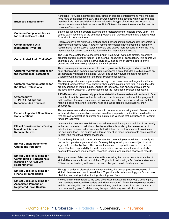| <b>Business Entertainment</b>                                                                                             | Although FINRA has not imposed dollar limits on business entertainment, most member<br>firms have established their own. This course examines the specific written policies that<br>member firms must establish which are tailored to its type of business and location to<br>prevent entertainment that causes a conflict of interest between the member firm and its<br>customers' best interests.                                                                   |
|---------------------------------------------------------------------------------------------------------------------------|------------------------------------------------------------------------------------------------------------------------------------------------------------------------------------------------------------------------------------------------------------------------------------------------------------------------------------------------------------------------------------------------------------------------------------------------------------------------|
| <b>Common Compliance Issues</b><br>for Broker-Dealers - 3.4                                                               | State securities Administrators examine their registered broker-dealers every year. This<br>course examines some of the common problems that they have found and address what<br>firms should do about them.                                                                                                                                                                                                                                                           |
| <b>Communicating with</b><br><b>Institutional Investors</b>                                                               | Regulators have not historically distinguished between institutional and retail investors in<br>their communications rules. However, recent rule changes have loosed the regulatory<br>requirements for institutional sales materials and placed more responsibility on the firms<br>themselves for policing communications with their institutional investors.                                                                                                        |
| <b>Consolidated Audit Trail (CAT)</b>                                                                                     | The SEC has created the Consolidated Audit Trail (CAT) system to simplify an order's<br>progression from its initial receipt to its eventual execution or cancellation. This course will<br>examine SEC Rule 613 and FINRA's Rule 6800 Series which provide details of the<br>provisions and terminology related to the CAT system.                                                                                                                                    |
| <b>Customer Communications for</b><br>the Institutional Professional                                                      | There are a significant number of rules and regulations that a registered representative<br>must observe when communicating with institutional clients. Included are discussions on<br>collateralized mortgage obligations (CMOs) and security futures that are not in the<br>Customer Communications for the Retail Professional course.                                                                                                                              |
| <b>Customer Communications for</b><br>the Retail Professional                                                             | This course provides a comprehensive survey of the many rules and regulations that a<br>registered representative must observe when communicating with retail clients. Included<br>are discussions on mutual funds, variable life insurance, and annuities which are not<br>included in the Customer Communications for the Institutional Professional course.                                                                                                         |
| <b>Cybersecurity</b><br>- FINRA Findings and<br><b>Recommended Practices</b>                                              | A FINRA report on cybersecurity practices stated that broker-dealers will continue to face<br>a variety of rapidly evolving threats and need a well-designed and adaptable program to<br>address these threats. This course will examine how a firm can show evidence that it's<br>making a good-faith effort to identify risks and taking steps to guard against their<br>occurrence.                                                                                 |
| <b>E-mail - Important Compliance</b><br><b>Considerations</b>                                                             | This course reviews what a person needs to remember when using email. Related issues<br>include which communications need approval by a supervisor, suitability considerations,<br>firm policies for detecting customer complaints, and verifying that instructions to transmit<br>funds are legitimate.                                                                                                                                                               |
| <b>Ethical Considerations Facing</b><br><b>Investment Adviser</b><br><b>Representatives</b>                               | Investment adviser representatives must adhere to a fiduciary standard (i.e., to act solely<br>in the best interests of their firms' clients). Additionally, advisory firm are expected to<br>adopt written policies and procedures that will detect, prevent, and correct violations of<br>the securities laws. This course will address how all of these requirements come together<br>to help IARs meet their ethical challenges.                                   |
| <b>Ethical Considerations for</b><br><b>Operations Personnel</b>                                                          | Although regulators typically focus their attention on employees who interact directly with<br>the public, operations personnel also face regulatory scrutiny and are subject to strict<br>legal and ethical obligations. This course focuses on the operations area of a broker-<br>dealer that has responsibility for trade confirmation, transaction settlement, custody,<br>account transfer and maintenance, securities lending, and creation of account records. |
| <b>Ethical Decision Making for</b><br><b>Commodities Professionals</b><br>(Satisfies NFA Rule 2.9<br><b>Requirements)</b> | Through a series of discussions and real-life scenarios, this course presents examples of<br>ethical dilemmas and how to avoid them. Topics include knowing a firm's ethical standards,<br>NFA rules, dealing fairly with customers and colleagues, insider trading, and fraud.                                                                                                                                                                                        |
| <b>Ethical Decision Making for</b><br><b>Financial Professionals</b>                                                      | Through a series of discussions and case studies, this course presents examples of<br>ethical dilemmas and how to avoid them. Topics include understanding your firm's code-<br>of-ethics, fair dealing, insider trading, churning, and fraud.                                                                                                                                                                                                                         |
| <b>Ethical Decision Making for</b><br><b>Associated Persons of</b><br><b>Registered Swap Dealers</b>                      | Professionally, ethics refers to the code of conduct that governs that group's actions (i.e.,<br>how members interact with outsiders and with one another). Through multiple case studies<br>and discussions, this course will examine industry practices, regulations, and standards to<br>provide a starting point for determining the appropriate way to conduct business.                                                                                          |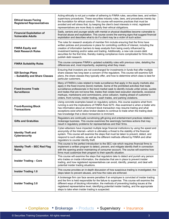| <b>Ethical Issues Facing</b><br><b>Registered Representatives</b> | Acting ethically is not just a matter of adhering to FINRA rules, securities laws, and written<br>supervisory procedures. These securities industry rules, laws, and procedures merely lay<br>the foundation for ethical conduct. This course will examine practices that must be<br>avoided and will stress that, by keeping the client's best interests in mind, registered<br>representatives are more likely to satisfy their ethical obligations.                                                                                                |
|-------------------------------------------------------------------|-------------------------------------------------------------------------------------------------------------------------------------------------------------------------------------------------------------------------------------------------------------------------------------------------------------------------------------------------------------------------------------------------------------------------------------------------------------------------------------------------------------------------------------------------------|
| <b>Financial Exploitation of</b><br><b>Vulnerable Adults</b>      | Sadly, seniors and younger adults with mental or physical disabilities become vulnerable to<br>financial abuse and exploitation. This course covers the warning signs that suggest financial<br>exploitation and describes what to do if a client may be a victim of such action.                                                                                                                                                                                                                                                                     |
| <b>FINRA Equity and</b><br><b>Debt Research Rules</b>             | The rules for research analysts of member firm include ensuring that the firms have<br>written policies and procedures in place for controlling conflicts of interest, including the<br>creation of information barriers to keep analysts from being overly influenced by<br>investment banking and/or sales and trading. Additionally, a new rule covers debt<br>securities for the first time, thereby making compliance more complicated for firms that<br>publish debt research.                                                                  |
| <b>FINRA Suitability Rules</b>                                    | This course compares FINRA's updated suitability rules with previous rules, detailing the<br>differences and, most importantly, explaining what they mean.                                                                                                                                                                                                                                                                                                                                                                                            |
| 529 Savings Plans<br>- Suitability and Share Classes              | Ensuring that investors are not overcharged for investments in funds that offer multiple<br>share classes has long been a concern of the regulators. This course will examine 529<br>plans, the share classes they typically offer, and how to determine which class is best for<br>particular customers.                                                                                                                                                                                                                                             |
| <b>Fixed-Income Trade</b><br><b>Surveillance</b>                  | Many of FINRA's rules related to trade surveillance that apply in the equity markets also<br>apply in the fixed income (bond) markets. Some of the prohibited activities that trade<br>surveillance professionals in the bond market seek to identify include unfair prices, quotes<br>and trades that are not bona fide, trades that violate best execution standards, excessive<br>markups, markdowns and commissions, price collusion, trading ahead of customer's<br>orders, front running, insider trading, wash trades, and parking violations. |
| <b>Front-Running Block</b><br><b>Transactions</b>                 | Using concrete examples based on regulatory actions, this course explains what front-<br>running is and the implications of FINRA Rule 5270. Also examined is when a trader who<br>has information about an imminent block transaction may resume trading and what<br>exceptions exist which allow broker-dealers to continue to trade when the trading desk<br>has knowledge that a block transaction is imminent.                                                                                                                                   |
| <b>Gifts and Gratuities</b>                                       | Regulators are continually scrutinizing gift-giving and entertainment practices related to<br>brokerage business. This course examines the seemingly harmless actions that may<br>result in regulatory problems for representatives and their firms.                                                                                                                                                                                                                                                                                                  |
| <b>Identity Theft and</b><br>Cybersecurity                        | Cyber-attackers have impacted multiple large financial institutions by using the speed and<br>anonymity of the Internet—which is ultimately a threat to the stability of the financial<br>system. This course will examine the steps that must be taken to prevent, detect, and<br>respond to such attacks, as well as the different methods offered by FINRA and other<br>regulators to counter identity theft.                                                                                                                                      |
| <b>Identity Theft - SEC Red Flag</b><br><b>Rules</b>              | This course is the perfect introduction to the SEC rule which requires financial firms to<br>implement a written program to detect, prevent, and mitigate identify theft in connection<br>with the opening and/or maintaining of consumer account. The course will examine how<br>firms must customize their program to their specific situation.                                                                                                                                                                                                     |
| <b>Insider Trading - Core</b>                                     | This course will examine the steps that regulators take to detect and punish any person<br>who trades on inside information, the obstacles that are in place to prevent insider<br>trading, and how registered representatives can avoid, identify, preempt, and deal with<br>potential insider trading situations.                                                                                                                                                                                                                                   |
| <b>Insider Trading 1.0</b>                                        | This course provides an in-depth discussion of how suspicious trading is investigated, the<br>steps taken to prevent abuses, and how the rules are enforced.                                                                                                                                                                                                                                                                                                                                                                                          |
| <b>Insider Trading 3.0</b>                                        | A brokerage firm can face severe penalties if an employee is convicted of insider trading<br>and the firm is held responsible for the failure to supervise. This course will examine the<br>different ways of blocking information, the methods of preventing trading issues at the<br>registered representative level, identifying potential insider trading, and the appropriate<br>steps to take when insider trading is suspected.                                                                                                                |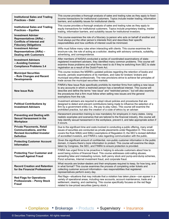| <b>Institutional Sales and Trading</b><br><b>Practices - Debt</b>                                                                | This course provides a thorough analysis of sales and trading rules as they apply to fixed-<br>income transactions for institutional customers. Topics include insider trading, information<br>barriers, and suitability issues for institutional clients.                                                                                                                                     |
|----------------------------------------------------------------------------------------------------------------------------------|------------------------------------------------------------------------------------------------------------------------------------------------------------------------------------------------------------------------------------------------------------------------------------------------------------------------------------------------------------------------------------------------|
| <b>Institutional Sales and Trading</b><br><b>Practices - Equities</b>                                                            | This course provides a thorough analysis of sales and trading rules as they apply to<br>equity transactions for institutional customers. Topics include proprietary trading, insider<br>trading, information barriers, and suitability issues for institutional investors.                                                                                                                     |
| <b>Investment Adviser</b><br><b>Representatives (IARs) -</b><br><b>Conflicts of Interest and</b><br><b>Fiduciary Obligations</b> | This course examines the role of a fiduciary (a person who acts on behalf of another and<br>must always put the other person's interests first) and describes their specific<br>responsibilities and how conflicts of interest could be minimized.                                                                                                                                             |
| <b>Investment Adviser</b><br><b>Representatives (IARs) -</b><br><b>Dealing with Customers</b>                                    | IARs must follow many rules when interacting with clients. This course examines the<br>brochure rule, the role of acting as a solicitor, dealing with advisory contracts, suitability,<br>advertising, and correspondence.                                                                                                                                                                     |
| <b>Investment Advisers</b><br>- Avoiding Common<br><b>Compliance Problems 3.4</b>                                                | After members of NASAA conducted a series of coordinated examinations of state-<br>registered investment advisers, they identified many common problems. This course will<br>examine those problems and what firms need to do if they're switching from SEC to state<br>registration as a result of the Dodd-Frank Act.                                                                        |
| <b>Municipal Securities</b><br>- Rule Changes and Recent<br><b>Developments</b>                                                  | This course reviews the MSRB's updated policies regarding the retention of books and<br>records, periodic examinations of its members, and rules for brokers' brokers and<br>municipal securities professionals. The new provisions strive to achieve fair principles of<br>trade across the municipal securities markets.                                                                     |
| <b>New Issue Rule</b>                                                                                                            | FINRA's New Issue Rule specifically prohibits its member firms from selling a new issue<br>to any accounts in which a restricted person has a beneficial interest. This course will<br>describe and define the terms "new issue" and "restricted person," but will also examine<br>the procedures that a firm must follow when selling new issues and the general<br>exemptions from the rule. |
| <b>Political Contributions by</b><br><b>Investment Advisers</b>                                                                  | Investment advisers are required to adopt robust policies and procedures that are<br>designed to detect and prevent contributions being made to influence the selection of a<br>firm by a government entity (i.e., the pay to play rules). This course will examine the<br>prohibited practice, but also the creation of a code of ethics by an adviser.                                       |
| <b>Preventing and Dealing with</b><br><b>Sexual Harassment in the</b><br>Workplace                                               | Harassment prevention training is now mandatory for employers in many states. Using<br>realistic examples and scenarios that are tailored to the financial industry, this course will<br>help identify sexual harassment in the workplace, prevent it, and take appropriate action if<br>it occurs.                                                                                            |
| <b>Private Placements, Retail</b><br><b>Communications, and the</b><br><b>Revised Accredited Investor</b><br><b>Definition</b>   | Due to the significant time and costs involved in conducting a public offering, many small<br>issues of securities are conducted as private placements under Regulation D. This course<br>covers the Rule 506(b) and 506(c) exemptions of Regulation D, the SEC's revised definition<br>of accredited investors, and FINRA's rules regarding communication with the public.                    |
| <b>Protecting Customer Account</b><br><b>Information</b>                                                                         | Given the significant amount of confidential, non-public customer information in the public<br>domain, it means there's more information to protect. This course will examine the steps<br>taken by Congress, the SEC, and FINRA to ensure protection is provided.                                                                                                                             |
| <b>Protecting Your Customer and</b><br><b>Yourself Against Fraud</b>                                                             | FINRA has urged firms to be proactive in helping to educate customers about how to<br>avoid being victims of financial fraud. This course addresses cold-calling abuses,<br>spreading false and misleading rumors, both penny stock and pump-and-dump schemes,<br>Ponzi schemes, Internet investment fraud, and corporate fraud.                                                               |
| <b>Record Creation and Retention</b><br>for the Financial Professional                                                           | What records are broker-dealers and their employees required to keep, for how long, and<br>in what format? This course examines the process of completing order tickets and<br>collecting customer account information-two responsibilities that registered<br>representatives perform every day.                                                                                              |
| <b>Red Flags for Operations</b><br><b>Professionals - Penny Stock</b><br><b>Fraud</b>                                            | Red flags—situations that may indicate that a violation has taken place—can appear in a<br>variety of operational areas, including new accounts, account maintenance, trade and<br>settlement, clearing, and cashiering. This course specifically focuses on the red flags<br>related to low-priced securities (penny stock.)                                                                  |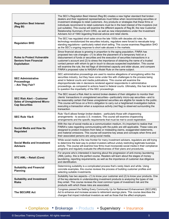| <b>Regulation Best Interest</b><br>(Reg BI)                                                      | The SEC's Regulation Best Interest (Reg BI) creates a new higher standard that broker-<br>dealers and their registered representatives must follow when recommending securities or<br>investment strategies to retail customers. Any products or strategies that these firms or<br>individuals recommend to retail customers must be in the best interest of the investors (not<br>just suitable). This course will examine the different aspects of Reg BI, the new Customer<br>Relationship Summary (Form CRS), as well as new interpretations under the Investment<br>Advisers Act of 1940 regarding financial advice and retail clients. |
|--------------------------------------------------------------------------------------------------|----------------------------------------------------------------------------------------------------------------------------------------------------------------------------------------------------------------------------------------------------------------------------------------------------------------------------------------------------------------------------------------------------------------------------------------------------------------------------------------------------------------------------------------------------------------------------------------------------------------------------------------------|
| <b>Regulation SHO</b>                                                                            | The SEC has regulated short sales since the late 1930s with decades old rules. As<br>technology revolutionized the securities industry, regulators were forced to reevaluate long-<br>standing regulations-particularly naked short selling. This course examines Regulation SHO<br>as the SEC's ongoing response to short sale abuses in the markets.                                                                                                                                                                                                                                                                                       |
| <b>Rules to Protect Vulnerable</b><br><b>Seniors from Financial</b><br><b>Exploitation</b>       | Since financial abuse is growing in proportion to the aging population, FINRA has<br>proposed two rule changes-(1) to allow the placement of a temporary hold on a<br>disbursement of funds or securities and the execution of securities transactions in a<br>customer's account and (2) to stress the importance of obtaining the name of a trusted<br>contact person with whom to get in touch to discuss suspected exploitation. This course<br>will examine the rule, the red flags of diminished capacity and elder abuse, and compare<br>FINRA's proposed rules to NASAA's Model Rule on the same subject.                            |
| <b>SEC Administrative</b><br><b>Proceedings</b><br>- Are They Fair?                              | SEC administrative proceedings are used to resolve allegations of wrongdoing within the<br>securities industry, but they have come under fire with challenges to the process being<br>aired in federal courts and media publications. This course will examine the<br>disproportionate rate in decisions rendered against respondents in administrative<br>proceedings, as compared to actions heard in federal courts. Ultimately, this has led some<br>to question the impartiality of the SEC proceedings.                                                                                                                                |
| <b>SEC Risk Alert - Customer</b><br><b>Sales of Unregistered Micro-</b><br><b>Cap Securities</b> | The SEC issued a Risk Alert to remind broker-dealers of their obligation to monitor their<br>clients' transactions in unregistered securities—particularly micro-cap securities—and to<br>be reasonably certain that these unregistered securities are eligible for resale to the public.<br>This course will focus on a firm's obligation to carry out a heightened investigation before<br>executing a transaction when a suspicious activity (red flag) is observed surrounding the<br>transaction.                                                                                                                                       |
| SEC Rule 15a-6                                                                                   | Rule 15a-6 allows foreign broker-dealers—particularly those with chaperoning<br>arrangements-to access U.S. investors. This course will examine chaperoning<br>arrangements and the specific requirements that must be met to avoid registration.                                                                                                                                                                                                                                                                                                                                                                                            |
| <b>Social Media and How Its</b><br><b>Regulated</b>                                              | With the rise of social media as a communication medium, it's important to realize that<br>FINRA's rules regarding communicating with the public are still applicable. These rules are<br>designed to protect investors from false or misleading claims, exaggerated statements,<br>and material omissions. This course will examine key areas and concepts when firms and<br>their associated persons are using social media.                                                                                                                                                                                                               |
| <b>Social Media and Investment</b><br><b>Advisers</b>                                            | While social media is the new frontier for many investment advisers, regulators are still trying<br>to determine the best way to protect investors without unduly restricting legitimate business<br>activity. This course will examine how firms must incorporate social media in their compliance<br>programs and regularly evaluate the effectiveness of their plans and procedures.                                                                                                                                                                                                                                                      |
| STC AML - Retail (Core)                                                                          | For anyone who's interested in learning about the progression of anti-money laundering<br>(AML) policy, this is the perfect course. Readers will learn about the stages of money<br>laundering, reporting requirements, as well as the importance of customer due diligence<br>and identification.                                                                                                                                                                                                                                                                                                                                           |
| <b>Suitability and Financial</b><br><b>Planning</b>                                              | Determining suitability is a complicated process that's rarely black and white. Using<br>concrete examples, this course reviews the process of building customer profiles and<br>selecting suitable investments.                                                                                                                                                                                                                                                                                                                                                                                                                             |
| <b>Suitability and Investment</b><br><b>Risks</b>                                                | Suitability has two aspects—(1) to know your customer and (2) to know your products. One<br>of the key elements in understanding investment products is analyzing the types of risk<br>they entail. This course reviews the most common types of investment risk and the<br>products with which these risks are associated.                                                                                                                                                                                                                                                                                                                  |
| The SECURE Act                                                                                   | Congress passed the Setting Every Community Up for Retirement Enhancement (SECURE)<br>Act to enhance and increase access to retirement savings plans. This course describes the<br>changes that impact individual investors as well as those that the affect employers.                                                                                                                                                                                                                                                                                                                                                                      |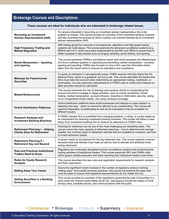## **Brokerage Courses and Descriptions:**

| These courses are ideal for individuals who are interested in brokerage related issues. |                                                                                                                                                                                                                                                                                                                                                                                                                |
|-----------------------------------------------------------------------------------------|----------------------------------------------------------------------------------------------------------------------------------------------------------------------------------------------------------------------------------------------------------------------------------------------------------------------------------------------------------------------------------------------------------------|
| <b>Becoming an Investment</b><br><b>Adviser Representative (IAR)</b>                    | For anyone interested in becoming an investment adviser representative, this is the<br>program to choose. This course provides an overview of the investment advisory business<br>and also examines the process by which a person can become licensed as an investment<br>adviser representative (IAR).                                                                                                        |
| <b>High Frequency Trading and</b><br><b>Market Regulation</b>                           | With trading going from seconds to microseconds, algorithms and high-speed trading<br>systems can invite abuse. This course examines the advanced surveillance systems (e.g.,<br>MIDAS and CAT), which have been implemented by the SEC and SROs to ensure they're<br>better equipped to stop abuses such as pinging, spoofing, quote stuffing, and layering.                                                  |
| <b>Market Manipulation - Spoofing</b><br>and Layering                                   | This course examines FINRA's surveillance report card which assesses the effectiveness<br>of a firm's software systems in capturing and preventing market manipulation—primarily<br>layering and spoofing. FINRA also focuses on how a firm uses the information that's<br>taken from the report cards to improve its operations and compliance.                                                               |
| <b>Markups for Fixed-Income</b><br><b>Securities</b>                                    | To guide its members in calculating fair prices, FINRA requires that they follow the 5%<br>Markup Policy, which is a guideline, but not a rule. This course describes the factors that<br>firms must take into account when determining an appropriate markup, markdown, or<br>commission, but also examines interpretations of FINRA rules to clarify how markups on<br>debt securities should be calculated. |
| <b>Master/Subaccounts</b>                                                               | This course examines the risk of allowing unscrupulous clients to manipulating this<br>account structure to engage in illegal activities, such as money laundering, insider<br>trading, market manipulation, account intrusion, breaches in information security, acting<br>as an unregistered broker-dealer, and using excessive leverage.                                                                    |
| <b>Online Distribution Platforms</b>                                                    | Online distribution platforms allow small businesses and startups to raise capital in a<br>relatively new way—which is commonly referred to as crowdfunding. This course will<br>examine Regulation Crowdfunding as well as the exemptions that are available for<br>different issuers.                                                                                                                        |
| <b>Research Analysts and</b><br><b>Investment Banking Business</b>                      | A FINRA member firm is prohibited from changing research, a rating, or a price target as<br>an inducement for receiving investment banking business. This course will follow a case<br>study of an investment banking firm to observe its adherence to FINRA rules.                                                                                                                                            |
| <b>Retirement Planning I-Helping</b><br><b>Clients Save for Retirement</b>              | Planning for retirement can be one of the most challenging yet rewarding tasks. This<br>course covers the many aspects of retirement planning— how to determine the savings<br>needed, the common types of retirement vehicles that are available to investors, and how<br>to invest retirement assets.                                                                                                        |
| <b>Retirement Planning II-</b><br><b>Retirement Day and Beyond</b>                      | A person needs to be prepared for the big retirement day. This course explores common<br>decisions that new retirees must make as well as how to allocate and withdraw funds<br>during retirement.                                                                                                                                                                                                             |
| <b>Rule and Practices Institutional</b><br><b>Traders Need to Know</b>                  | Regulators are continually strengthening their surveillance systems and scrutinizing the<br>trading activities of institutional traders. This course examines SEC and FINRA rules<br>which govern orderly execution and trade reporting that institutional traders must know.                                                                                                                                  |
| <b>Rules for Equity Research</b><br><b>Analysts</b>                                     | This course describes the new rules and registration requirements for research analysts<br>and their supervisors.                                                                                                                                                                                                                                                                                              |
| <b>Selling Away Your Career</b>                                                         | Due to the significant recent increase in the number of regulatory actions involving<br>"selling away" and outside business practices, this course will examine the steps that<br>must be taken to ensure that registered representatives do not violate the rule.                                                                                                                                             |
| <b>Selling Securities in a Banking</b><br><b>Environment</b>                            | This course provides an overview of the regulations governing the sale of securities in a<br>bank under the Gramm-Leach-Bliley (GLB) Act. Discussions include the impact of GLB,<br>privacy rules, suitability issues, and communications with the public.                                                                                                                                                     |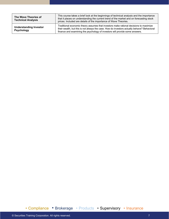| The Wave Theories of<br><b>Technical Analysis</b> | This course takes a brief look at the beginnings of technical analysis and the importance<br>that it places on understanding the current trend of the market and on forecasting stock<br>prices. Included are details of the importance of Wave Theories.             |
|---------------------------------------------------|-----------------------------------------------------------------------------------------------------------------------------------------------------------------------------------------------------------------------------------------------------------------------|
| <b>Understanding Investor</b><br>Psychology       | Traditional economic theory assumes that investors make rational decisions to maximize<br>their wealth, but this is not always the case. How do investors actually behave? Behavioral<br>finance and examining the psychology of investors will provide some answers. |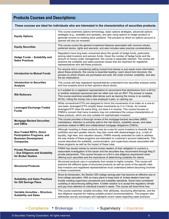## **Products Courses and Descriptions:**

| These courses are ideal for individuals who are interested in the characteristics of securities products.                |                                                                                                                                                                                                                                                                                                                                                                                                                                                                                                                            |
|--------------------------------------------------------------------------------------------------------------------------|----------------------------------------------------------------------------------------------------------------------------------------------------------------------------------------------------------------------------------------------------------------------------------------------------------------------------------------------------------------------------------------------------------------------------------------------------------------------------------------------------------------------------|
| <b>Equity Options</b>                                                                                                    | This course examines options terminology, basic options strategies, advanced options<br>strategies (e.g., straddles and spreads), and also using options to hedge (protect) or<br>generate income on existing stock positions. The process by which an options account is<br>opened will also be reviewed.                                                                                                                                                                                                                 |
| <b>Equity Securities</b>                                                                                                 | This course covers the general investment features associated with common stocks,<br>preferred stocks, rights and warrants, and also includes sales practice considerations.                                                                                                                                                                                                                                                                                                                                               |
| Hedge Funds - Suitability and<br><b>Sales Practices</b>                                                                  | Regulators have long been concerned about the growth of hedge funds, particularly<br>among retail investors and pension funds. Given the number of hedge funds and the<br>amount of money under management, this course is especially relevant. The course will<br>examine the suitability and sales practices issues that are important for registered<br>representatives who sell these products.                                                                                                                        |
| <b>Introduction to Mutual Funds</b>                                                                                      | For anyone who's considering selling mutual fund shares or just wants more information<br>about these products, this course is essential reading. Learn about fund structure, the<br>process by which shares are purchased and sold, the costs involved, suitability, and also<br>the tax implications.                                                                                                                                                                                                                    |
| <b>Introduction to Securities</b><br><b>Analysis</b>                                                                     | This course will help registered representatives understand how securities analysis works<br>and how analysts arrive at their opinions about stocks.                                                                                                                                                                                                                                                                                                                                                                       |
| <b>IRA Rollovers</b>                                                                                                     | Is it suitable for a registered representative to recommend that distributions from a 401(k)<br>or another employer-sponsored plan be rolled over into an IRA? The answer is maybe.<br>This course examines possible alternatives such as leaving the money in an existing<br>401(k), rolling the money into a new employer's plan, or cashing out.                                                                                                                                                                        |
| <b>Leveraged Exchange-Traded</b><br><b>Funds</b>                                                                         | While conventional ETFs are designed to mirror the movements of an index on a one-to-<br>one basis, leveraged ETFs amplify these movements by 2 or 3 times. An inverse<br>leveraged ETF does the same thing, but does it in reverse. This course focuses on<br>FINRA's concern that many investors may not understand the unique characteristics of<br>these products, which are only suitable for sophisticated investors.                                                                                                |
| <b>Mortgage-Backed Securities</b><br>and CMOs                                                                            | This course provides a thorough review of the mortgage-backed securities (MBS)<br>marketplace. Attention is primarily paid to the risk factors, suitability issues, and sales<br>practices related to MBS and collateralized mortgage obligations (CMOs).                                                                                                                                                                                                                                                                  |
| <b>Non-Traded REITs, Direct</b><br><b>Participation Programs, and</b><br><b>Business Development</b><br><b>Companies</b> | Although investing in these products may be a way for some investors to diversify their<br>portfolios and earn greater returns, they also come with disadvantages (e.g., a lack of<br>liquidity, high fees, and valuation issues). FINRA recently amended its rules to address<br>the way shares of these programs are estimated on customer's account statements. This<br>course describes the suitability, communication, and supervisory issues associated with<br>these programs as well as the impact of these rules. |
| <b>Private Placements</b><br>- Due Diligence and Suitability<br>for Broker Dealers                                       | FINRA has issued notices to remind broker-dealers of their obligation to conduct a<br>reasonable investigation of the issuer and the securities they recommend through Reg D<br>private placements. This course focuses on a firm's due diligence requirement when<br>offering such securities and the importance of determining suitability for clients.                                                                                                                                                                  |
| <b>Structured Products</b>                                                                                               | Structured products vary in complexity from simple to highly complex. This course will<br>examine the different types of structured products as well as some of the specific risks<br>that investors and registered representatives must understand before becoming involved<br>in these investments.                                                                                                                                                                                                                      |
| <b>Suitability and Sales Practices</b><br>for 529 Savings Plans                                                          | Since its introduction, the Section 529 college savings plan has become an effective way to<br>fund college education. With so many plans to keep track of, broker-dealers have had<br>trouble creating supervisory procedures and suitability standards. Some have considered<br>curtailing or discontinuing selling them. A better solution is to accept the regulatory climate<br>and pay more attention to individual investor's needs. This course will show firms how.                                               |
| Variable Annuities - Structure,<br><b>Suitability and Sales</b>                                                          | This course examines variable annuities, their attributes, structuring alternatives, and the<br>due diligence required for making suitable product recommendations. The program also<br>addresses annuity exchanges and highlights recent cases regarding sales practices.                                                                                                                                                                                                                                                 |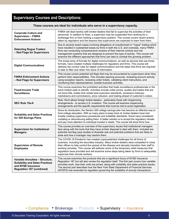## **Supervisory Courses and Descriptions:**

#### **These courses are ideal for individuals who serve in a supervisory capacity.**

| <b>Corporate Culture and</b><br><b>Supervision - FINRA</b><br><b>Enforcement Actions</b>                                            | FINRA will deal harshly with broker-dealers that fail to supervise the activities of their<br>personnel. In addition to fines, a supervisor may be suspended from working for a<br>brokerage firm or from holding a supervisory position. This course covers recent actions<br>taken by regulators and the lessons that supervisors are expected to learn from them.                                                                                                                             |
|-------------------------------------------------------------------------------------------------------------------------------------|--------------------------------------------------------------------------------------------------------------------------------------------------------------------------------------------------------------------------------------------------------------------------------------------------------------------------------------------------------------------------------------------------------------------------------------------------------------------------------------------------|
| <b>Detecting Rogue Traders</b><br>- Red Flags for Supervisors                                                                       | Due to several recent cases involving allegations of unauthorized or "rogue" trading which<br>have resulted in substantial losses by firms in both the U.S. and overseas, many FINRA<br>firms are conducting comprehensive reviews of their internal controls and risk<br>management systems that are designed to prevent this type of activity. This course will<br>examine the different approaches that firms can take to combat this growing problem.                                        |
| <b>Digital Communications</b>                                                                                                       | The broad array of formats for digital communications, as well as devices that use those<br>formats, have created multiple challenges for regulators and firms. This course will<br>address the current rules for digital communications and the steps that firms are required<br>to take to filter and retain this wave of information.                                                                                                                                                         |
| <b>FINRA Enforcement Actions</b><br>- Red Flags for Supervisors                                                                     | This course covers potential red flags that may be encountered by supervisors when they<br>perform their responsibilities. This includes opening accounts, reviewing account activity,<br>using exception reports, reviewing order tickets, validating client instructions, and<br>monitoring their representatives' outside business activities.                                                                                                                                                |
| <b>Fixed-Income Trade</b><br><b>Surveillance</b>                                                                                    | This course examines the prohibited activities that trade surveillance professionals in the<br>bond market seek to identify. Activities include unfair prices, quotes and trades that are<br>not bona fide, trades that violate best execution standards, excessive markups,<br>markdowns and commissions, price collusion, and trading ahead of customer's orders.                                                                                                                              |
| <b>SEC Rule 15a-6</b>                                                                                                               | Rule 15a-6 allows foreign broker-dealers-particularly those with chaperoning<br>arrangements-to access U.S. investors. This course will examine chaperoning<br>arrangements and the specific requirements that must be met to avoid registration.                                                                                                                                                                                                                                                |
| <b>Suitability and Sales Practices</b><br>for 529 Savings Plans                                                                     | Since its introduction, the Section 529 college savings plan has become an effective way to<br>fund college education. With so many plans to keep track of, broker-dealers have had<br>trouble creating supervisory procedures and suitability standards. Some have considered<br>curtailing or discontinuing selling them. A better solution is to accept the regulatory climate<br>and pay more attention to individual investor's needs. This course will show firms how.                     |
| <b>Supervision for Institutional</b><br><b>Managers</b>                                                                             | This course provides an overview of the supervisory issues that institutional managers<br>face along with the tools that they have at their disposal to deal with them. Included are<br>potential red-flag case studies to illustrate real and potential problems that are likely to<br>arise and how a manager may resolve them.                                                                                                                                                                |
| <b>Supervision of Remote</b><br><b>Employees</b>                                                                                    | The COVID-19 Pandemic has created unprecedented challenges for all forms of<br>business, including the securities industry. Many broker-dealers were compelled to close<br>their offices to help control the spread of the disease and abruptly transition their staff to<br>working remotely. This course will address some of the temporary relief measures that<br>regulators have provided and will examine some steps being taken by firms to adequately<br>supervise their remote workers. |
| Variable Annuities - Structure,<br><b>Suitability and Sales Practices</b><br>and NYSE Insurance<br><b>Regulation 187 (combined)</b> | This course examines the products that are a significant focus of NYSE Insurance<br>Regulation 187 but will also review the regulation itself. The first part covers how variable<br>annuities work, how their units are priced, along with suitability and sales practice issues.<br>The second part describes how the New York State Department of Financial Services<br>(NYDFS) has amended its regulation governing the suitability of annuity transactions.                                 |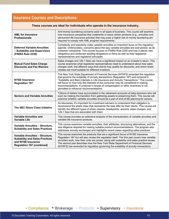## **Insurance Courses and Descriptions:**

| These courses are ideal for individuals who operate in the insurance industry.                                                      |                                                                                                                                                                                                                                                                                                                                                                                                                                                                                           |
|-------------------------------------------------------------------------------------------------------------------------------------|-------------------------------------------------------------------------------------------------------------------------------------------------------------------------------------------------------------------------------------------------------------------------------------------------------------------------------------------------------------------------------------------------------------------------------------------------------------------------------------------|
| <b>AML for Insurance</b><br><b>Professionals</b>                                                                                    | Anti-money laundering concerns exist in all types of business. This course will examine<br>how insurance companies that underwrite or issue certain products (e.g., annuities and<br>permanent life insurance policies) that may pose a higher risk of money laundering are<br>required to comply with AML program requirements.                                                                                                                                                          |
| <b>Deferred Variable Annuities</b><br>- Suitability and Supervision<br>(FINRA Rule 2330)                                            | Complexity and popularity make variable annuities an important issue on the regulatory<br>agenda. Unfortunately, concerns about the way variable annuities are sold persist, as do<br>customer complaints. This course focuses on FINRA Rule 2330 and how it places new<br>obligations and reinforces existing obligations on firms as well as their registered<br>representatives and registered principals.                                                                             |
| <b>Mutual Fund Sales Charge</b><br><b>Discounts and Fee Waivers</b>                                                                 | Sales charges and 12b-1 fees can have a significant impact on an investor's return. This<br>course examines what registered representatives need to understand about how sales<br>charges work, the different ways that clients may qualify for discounts, and which share<br>classes are most suitable for different investors.                                                                                                                                                          |
| <b>NYSE Insurance</b><br><b>Regulation 187</b>                                                                                      | The New York State Department of Financial Services (NYDFS) amended the regulation<br>that governs the suitability of annuity transactions (Regulation 187) and renamed it<br>"Suitability and Best Interests in Life Insurance and Annuity Transactions." This course<br>will focus on how only the interests of the consumer may be considered in making<br>recommendations. A producer's receipt of compensation or other incentives is not<br>permitted to influence recommendations. |
| <b>Seniors and Variable Annuities</b>                                                                                               | Trillions of dollars have accumulated in the retirement accounts of baby-boomers who will<br>soon be making the transition from gathering assets to preserving them. This course will<br>examine whether variable annuities should be a part of end-of-life planning for seniors.                                                                                                                                                                                                         |
| The SEC Share Class Initiative                                                                                                      | As fiduciaries, it's important for investment advisers to understand their obligation to<br>recommend the share class that represents the best offer for their clients. This course will<br>identify the different types of share classes, breakpoints, waivers, sales charges, and<br>12b-1 fees that are associated with them.                                                                                                                                                          |
| <b>Variable Annuities and</b><br><b>Variable Life</b>                                                                               | This course provides an extensive analysis of the characteristics of variable annuities and<br>variable life insurance products.                                                                                                                                                                                                                                                                                                                                                          |
| Variable Annuities - Structure,<br><b>Suitability and Sales Practices</b>                                                           | This course examines variable annuities, their attributes, structuring alternatives, and the<br>due diligence required for making suitable product recommendations. The program also<br>addresses annuity exchanges and highlights recent cases regarding sales practices.                                                                                                                                                                                                                |
| Variable Annuities - Structure,<br><b>Suitability and Sales Practices</b><br>and NYSE Insurance<br><b>Regulation 187 (combined)</b> | This course examines the products that are a significant focus of NYSE Insurance<br>Regulation 187 but will also review the regulation itself. The first part covers how variable<br>annuities work, how their units are priced, along with suitability and sales practice issues.<br>The second part describes how the New York State Department of Financial Services<br>(NYDFS) has amended its regulation governing the suitability of annuity transactions.                          |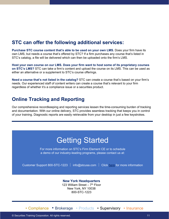## **STC can offer the following additional services:**

**Purchase STC course content that's able to be used on your own LMS.** Does your firm have its own LMS, but needs a course that's offered by STC? If a firm purchases any course that's listed in STC's catalog, a file will be delivered which can then be uploaded onto the firm's LMS.

**Host your own course on our LMS. Does your firm want to host some of its proprietary courses on STC's LMS?** STC can take a firm's content and upload the course on its LMS. This can be used as either an alternative or a supplement to STC's course offerings.

**Need a course that's not listed in the catalog?** STC can create a course that's based on your firm's needs. Our experienced staff of content writers can create a course that's relevant to your firm regardless of whether it's a compliance issue or a securities product.

### **Online Tracking and Reporting**

Our comprehensive recordkeeping and reporting services lessen the time-consuming burden of tracking and documentation. With our online delivery, STC provides seamless tracking that keeps you in control of your training. Diagnostic reports are easily retrievable from your desktop in just a few keystrokes.

## Getting Started

For more information on STC's Firm Element CE or to schedule a demo of our industry-leading programs, please contact us at:

Customer Support 800-STC-1223 | info@stcusa.com | Click [here](http://www.stcusa.com/) for more information

#### **New York Headquarters** 123 William Street –  $7<sup>th</sup>$  Floor New York, NY 10038 800-STC-1223